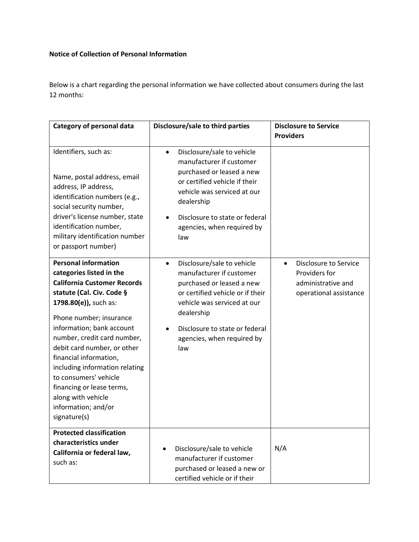## **Notice of Collection of Personal Information**

Below is a chart regarding the personal information we have collected about consumers during the last 12 months:

| Category of personal data                                                                                                                                                                                                                                                                                                                                                                                                 | Disclosure/sale to third parties                                                                                                                                                                                                                                      | <b>Disclosure to Service</b><br><b>Providers</b>                                                           |
|---------------------------------------------------------------------------------------------------------------------------------------------------------------------------------------------------------------------------------------------------------------------------------------------------------------------------------------------------------------------------------------------------------------------------|-----------------------------------------------------------------------------------------------------------------------------------------------------------------------------------------------------------------------------------------------------------------------|------------------------------------------------------------------------------------------------------------|
| Identifiers, such as:<br>Name, postal address, email<br>address, IP address,<br>identification numbers (e.g.,<br>social security number,<br>driver's license number, state<br>identification number,<br>military identification number<br>or passport number)<br><b>Personal information</b>                                                                                                                              | Disclosure/sale to vehicle<br>$\bullet$<br>manufacturer if customer<br>purchased or leased a new<br>or certified vehicle if their<br>vehicle was serviced at our<br>dealership<br>Disclosure to state or federal<br>agencies, when required by<br>law                 |                                                                                                            |
| categories listed in the<br><b>California Customer Records</b><br>statute (Cal. Civ. Code §<br>1798.80(e)), such as:<br>Phone number; insurance<br>information; bank account<br>number, credit card number,<br>debit card number, or other<br>financial information,<br>including information relating<br>to consumers' vehicle<br>financing or lease terms,<br>along with vehicle<br>information; and/or<br>signature(s) | Disclosure/sale to vehicle<br>$\bullet$<br>manufacturer if customer<br>purchased or leased a new<br>or certified vehicle or if their<br>vehicle was serviced at our<br>dealership<br>Disclosure to state or federal<br>$\bullet$<br>agencies, when required by<br>law | <b>Disclosure to Service</b><br>$\bullet$<br>Providers for<br>administrative and<br>operational assistance |
| <b>Protected classification</b><br>characteristics under<br>California or federal law,<br>such as:                                                                                                                                                                                                                                                                                                                        | Disclosure/sale to vehicle<br>manufacturer if customer<br>purchased or leased a new or<br>certified vehicle or if their                                                                                                                                               | N/A                                                                                                        |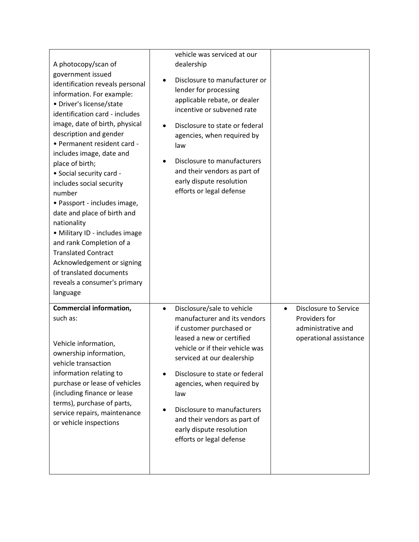| A photocopy/scan of<br>government issued<br>identification reveals personal<br>information. For example:<br>· Driver's license/state<br>identification card - includes<br>image, date of birth, physical<br>description and gender<br>• Permanent resident card -<br>includes image, date and<br>place of birth;<br>• Social security card -<br>includes social security<br>number<br>• Passport - includes image,<br>date and place of birth and<br>nationality<br>· Military ID - includes image<br>and rank Completion of a<br><b>Translated Contract</b><br>Acknowledgement or signing<br>of translated documents<br>reveals a consumer's primary<br>language | vehicle was serviced at our<br>dealership<br>Disclosure to manufacturer or<br>lender for processing<br>applicable rebate, or dealer<br>incentive or subvened rate<br>Disclosure to state or federal<br>$\bullet$<br>agencies, when required by<br>law<br>Disclosure to manufacturers<br>and their vendors as part of<br>early dispute resolution<br>efforts or legal defense                    |                                                                                                            |
|-------------------------------------------------------------------------------------------------------------------------------------------------------------------------------------------------------------------------------------------------------------------------------------------------------------------------------------------------------------------------------------------------------------------------------------------------------------------------------------------------------------------------------------------------------------------------------------------------------------------------------------------------------------------|-------------------------------------------------------------------------------------------------------------------------------------------------------------------------------------------------------------------------------------------------------------------------------------------------------------------------------------------------------------------------------------------------|------------------------------------------------------------------------------------------------------------|
| <b>Commercial information,</b><br>such as:<br>Vehicle information,<br>ownership information,<br>vehicle transaction<br>information relating to<br>purchase or lease of vehicles<br>(including finance or lease<br>terms), purchase of parts,<br>service repairs, maintenance<br>or vehicle inspections                                                                                                                                                                                                                                                                                                                                                            | Disclosure/sale to vehicle<br>$\bullet$<br>manufacturer and its vendors<br>if customer purchased or<br>leased a new or certified<br>vehicle or if their vehicle was<br>serviced at our dealership<br>Disclosure to state or federal<br>agencies, when required by<br>law<br>Disclosure to manufacturers<br>and their vendors as part of<br>early dispute resolution<br>efforts or legal defense | <b>Disclosure to Service</b><br>$\bullet$<br>Providers for<br>administrative and<br>operational assistance |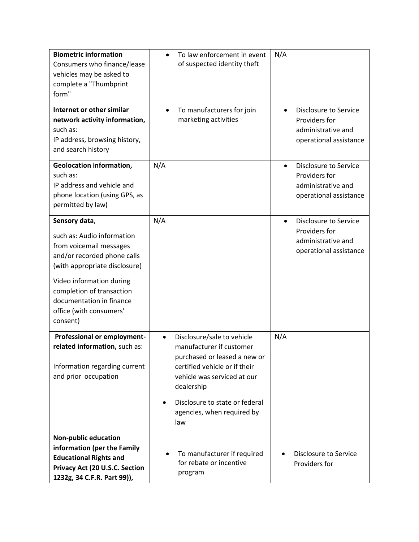| <b>Biometric information</b><br>Consumers who finance/lease<br>vehicles may be asked to<br>complete a "Thumbprint<br>form"      | To law enforcement in event<br>$\bullet$<br>of suspected identity theft                                                                                                           | N/A                                                                                                        |
|---------------------------------------------------------------------------------------------------------------------------------|-----------------------------------------------------------------------------------------------------------------------------------------------------------------------------------|------------------------------------------------------------------------------------------------------------|
| Internet or other similar<br>network activity information,<br>such as:<br>IP address, browsing history,<br>and search history   | To manufacturers for join<br>$\bullet$<br>marketing activities                                                                                                                    | Disclosure to Service<br>Providers for<br>administrative and<br>operational assistance                     |
| <b>Geolocation information,</b><br>such as:<br>IP address and vehicle and<br>phone location (using GPS, as<br>permitted by law) | N/A                                                                                                                                                                               | <b>Disclosure to Service</b><br>$\bullet$<br>Providers for<br>administrative and<br>operational assistance |
| Sensory data,                                                                                                                   | N/A                                                                                                                                                                               | <b>Disclosure to Service</b><br>$\bullet$                                                                  |
| such as: Audio information<br>from voicemail messages<br>and/or recorded phone calls<br>(with appropriate disclosure)           |                                                                                                                                                                                   | Providers for<br>administrative and<br>operational assistance                                              |
| Video information during<br>completion of transaction<br>documentation in finance<br>office (with consumers'<br>consent)        |                                                                                                                                                                                   |                                                                                                            |
| Professional or employment-<br>related information, such as:<br>Information regarding current<br>and prior occupation           | Disclosure/sale to vehicle<br>$\bullet$<br>manufacturer if customer<br>purchased or leased a new or<br>certified vehicle or if their<br>vehicle was serviced at our<br>dealership | N/A                                                                                                        |
|                                                                                                                                 | Disclosure to state or federal<br>$\bullet$<br>agencies, when required by<br>law                                                                                                  |                                                                                                            |
| <b>Non-public education</b><br>information (per the Family                                                                      |                                                                                                                                                                                   |                                                                                                            |
| <b>Educational Rights and</b><br>Privacy Act (20 U.S.C. Section<br>1232g, 34 C.F.R. Part 99)),                                  | To manufacturer if required<br>$\bullet$<br>for rebate or incentive<br>program                                                                                                    | Disclosure to Service<br>Providers for                                                                     |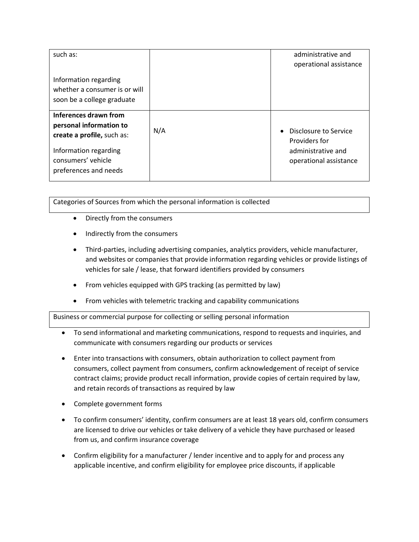| such as:                                                                                                                                               |     | administrative and<br>operational assistance                                                        |
|--------------------------------------------------------------------------------------------------------------------------------------------------------|-----|-----------------------------------------------------------------------------------------------------|
| Information regarding<br>whether a consumer is or will<br>soon be a college graduate                                                                   |     |                                                                                                     |
| Inferences drawn from<br>personal information to<br>create a profile, such as:<br>Information regarding<br>consumers' vehicle<br>preferences and needs | N/A | Disclosure to Service<br>$\bullet$<br>Providers for<br>administrative and<br>operational assistance |

Categories of Sources from which the personal information is collected

- Directly from the consumers
- Indirectly from the consumers
- Third-parties, including advertising companies, analytics providers, vehicle manufacturer, and websites or companies that provide information regarding vehicles or provide listings of vehicles for sale / lease, that forward identifiers provided by consumers
- From vehicles equipped with GPS tracking (as permitted by law)
- From vehicles with telemetric tracking and capability communications

Business or commercial purpose for collecting or selling personal information

- To send informational and marketing communications, respond to requests and inquiries, and communicate with consumers regarding our products or services
- Enter into transactions with consumers, obtain authorization to collect payment from consumers, collect payment from consumers, confirm acknowledgement of receipt of service contract claims; provide product recall information, provide copies of certain required by law, and retain records of transactions as required by law
- Complete government forms
- To confirm consumers' identity, confirm consumers are at least 18 years old, confirm consumers are licensed to drive our vehicles or take delivery of a vehicle they have purchased or leased from us, and confirm insurance coverage
- Confirm eligibility for a manufacturer / lender incentive and to apply for and process any applicable incentive, and confirm eligibility for employee price discounts, if applicable